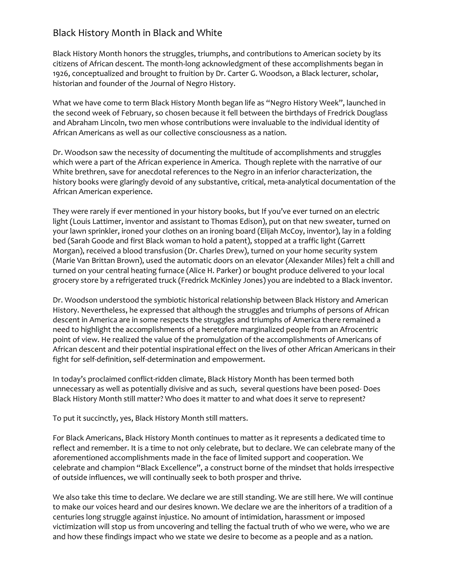## Black History Month in Black and White

Black History Month honors the struggles, triumphs, and contributions to American society by its citizens of African descent. The month-long acknowledgment of these accomplishments began in 1926, conceptualized and brought to fruition by Dr. Carter G. Woodson, a Black lecturer, scholar, historian and founder of the Journal of Negro History.

What we have come to term Black History Month began life as "Negro History Week", launched in the second week of February, so chosen because it fell between the birthdays of Fredrick Douglass and Abraham Lincoln, two men whose contributions were invaluable to the individual identity of African Americans as well as our collective consciousness as a nation.

Dr. Woodson saw the necessity of documenting the multitude of accomplishments and struggles which were a part of the African experience in America. Though replete with the narrative of our White brethren, save for anecdotal references to the Negro in an inferior characterization, the history books were glaringly devoid of any substantive, critical, meta-analytical documentation of the African American experience.

They were rarely if ever mentioned in your history books, but If you've ever turned on an electric light (Louis Lattimer, inventor and assistant to Thomas Edison), put on that new sweater, turned on your lawn sprinkler, ironed your clothes on an ironing board (Elijah McCoy, inventor), lay in a folding bed (Sarah Goode and first Black woman to hold a patent), stopped at a traffic light (Garrett Morgan), received a blood transfusion (Dr. Charles Drew), turned on your home security system (Marie Van Brittan Brown), used the automatic doors on an elevator (Alexander Miles) felt a chill and turned on your central heating furnace (Alice H. Parker) or bought produce delivered to your local grocery store by a refrigerated truck (Fredrick McKinley Jones) you are indebted to a Black inventor.

Dr. Woodson understood the symbiotic historical relationship between Black History and American History. Nevertheless, he expressed that although the struggles and triumphs of persons of African descent in America are in some respects the struggles and triumphs of America there remained a need to highlight the accomplishments of a heretofore marginalized people from an Afrocentric point of view. He realized the value of the promulgation of the accomplishments of Americans of African descent and their potential inspirational effect on the lives of other African Americans in their fight for self-definition, self-determination and empowerment.

In today's proclaimed conflict-ridden climate, Black History Month has been termed both unnecessary as well as potentially divisive and as such, several questions have been posed- Does Black History Month still matter? Who does it matter to and what does it serve to represent?

To put it succinctly, yes, Black History Month still matters.

For Black Americans, Black History Month continues to matter as it represents a dedicated time to reflect and remember. It is a time to not only celebrate, but to declare. We can celebrate many of the aforementioned accomplishments made in the face of limited support and cooperation. We celebrate and champion "Black Excellence", a construct borne of the mindset that holds irrespective of outside influences, we will continually seek to both prosper and thrive.

We also take this time to declare. We declare we are still standing. We are still here. We will continue to make our voices heard and our desires known. We declare we are the inheritors of a tradition of a centuries long struggle against injustice. No amount of intimidation, harassment or imposed victimization will stop us from uncovering and telling the factual truth of who we were, who we are and how these findings impact who we state we desire to become as a people and as a nation.